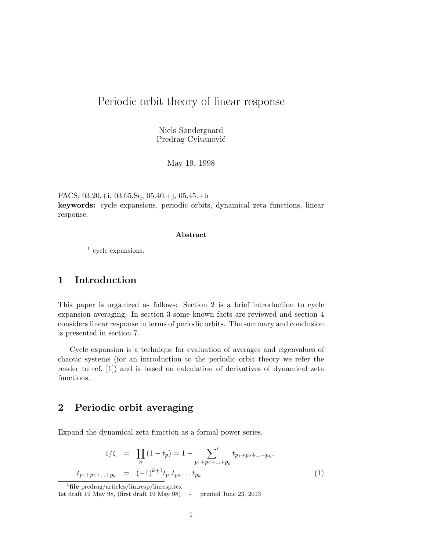# Periodic orbit theory of linear response

Niels Søndergaard Predrag Cvitanović

May 19, 1998

PACS: 03.20.+i, 03.65.Sq, 05.40.+j, 05.45.+b

keywords: cycle expansions, periodic orbits, dynamical zeta functions, linear response.

#### Abstract

1 cycle expansions.

### 1 Introduction

This paper is organized as follows: Section 2 is a brief introduction to cycle expansion averaging. In section 3 some known facts are reviewed and section 4 considers linear response in terms of periodic orbits. The summary and conclusion is presented in section 7.

Cycle expansion is a technique for evaluation of averages and eigenvalues of chaotic systems (for an introduction to the periodic orbit theory we refer the reader to ref. [1]) and is based on calculation of derivatives of dynamical zeta functions.

## 2 Periodic orbit averaging

Expand the dynamical zeta function as a formal power series,

$$
1/\zeta = \prod_{p} (1 - t_p) = 1 - \sum_{p_1 + p_2 + \dots + p_k} t_{p_1 + p_2 + \dots + p_k},
$$
  

$$
t_{p_1 + p_2 + \dots + p_k} = (-1)^{k+1} t_{p_1} t_{p_2} \dots t_{p_k}
$$
 (1)

 $1$ file predrag/articles/lin\_resp/linresp.tex 1st draft 19 May 98, (first draft 19 May 98) - printed June 23, 2013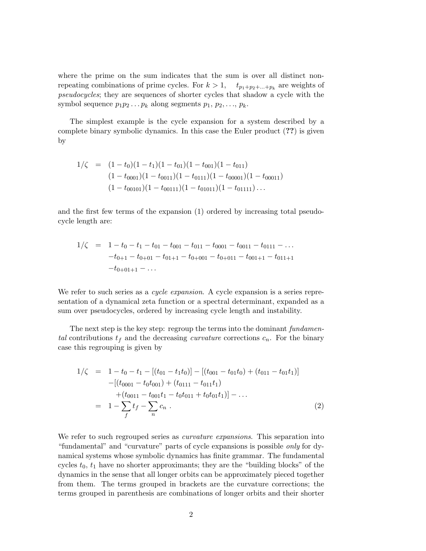where the prime on the sum indicates that the sum is over all distinct nonrepeating combinations of prime cycles. For  $k > 1$ ,  $t_{p_1+p_2+\ldots+p_k}$  are weights of pseudocycles; they are sequences of shorter cycles that shadow a cycle with the symbol sequence  $p_1p_2 \ldots p_k$  along segments  $p_1, p_2, \ldots, p_k$ .

The simplest example is the cycle expansion for a system described by a complete binary symbolic dynamics. In this case the Euler product (??) is given by

$$
1/\zeta = (1 - t_0)(1 - t_1)(1 - t_{01})(1 - t_{001})(1 - t_{011})
$$
  
\n
$$
(1 - t_{0001})(1 - t_{0011})(1 - t_{0111})(1 - t_{00001})(1 - t_{00011})
$$
  
\n
$$
(1 - t_{00101})(1 - t_{00111})(1 - t_{01011})(1 - t_{01111})...
$$

and the first few terms of the expansion (1) ordered by increasing total pseudocycle length are:

$$
1/\zeta = 1 - t_0 - t_1 - t_{01} - t_{001} - t_{011} - t_{0001} - t_{0011} - t_{0111} - \dots
$$

$$
-t_{0+1} - t_{0+01} - t_{01+1} - t_{0+001} - t_{0+011} - t_{001+1} - t_{011+1}
$$

$$
-t_{0+01+1} - \dots
$$

We refer to such series as a *cycle expansion*. A cycle expansion is a series representation of a dynamical zeta function or a spectral determinant, expanded as a sum over pseudocycles, ordered by increasing cycle length and instability.

The next step is the key step: regroup the terms into the dominant *fundamen*tal contributions  $t_f$  and the decreasing *curvature* corrections  $c_n$ . For the binary case this regrouping is given by

$$
1/\zeta = 1 - t_0 - t_1 - [(t_{01} - t_1 t_0)] - [(t_{001} - t_{01} t_0) + (t_{011} - t_{01} t_1)]
$$
  
-([t\_{0001} - t\_0 t\_{001}) + (t\_{0111} - t\_{011} t\_1)  
+(t\_{0011} - t\_{001} t\_1 - t\_0 t\_{011} + t\_0 t\_{01} t\_1)] - ...  
= 1 - \sum\_f t\_f - \sum\_n c\_n . (2)

We refer to such regrouped series as *curvature expansions*. This separation into "fundamental" and "curvature" parts of cycle expansions is possible only for dynamical systems whose symbolic dynamics has finite grammar. The fundamental cycles  $t_0$ ,  $t_1$  have no shorter approximants; they are the "building blocks" of the dynamics in the sense that all longer orbits can be approximately pieced together from them. The terms grouped in brackets are the curvature corrections; the terms grouped in parenthesis are combinations of longer orbits and their shorter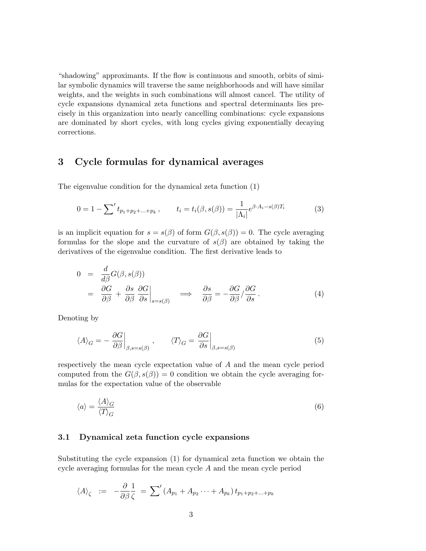"shadowing" approximants. If the flow is continuous and smooth, orbits of similar symbolic dynamics will traverse the same neighborhoods and will have similar weights, and the weights in such combinations will almost cancel. The utility of cycle expansions dynamical zeta functions and spectral determinants lies precisely in this organization into nearly cancelling combinations: cycle expansions are dominated by short cycles, with long cycles giving exponentially decaying corrections.

### 3 Cycle formulas for dynamical averages

The eigenvalue condition for the dynamical zeta function (1)

$$
0 = 1 - \sum' t_{p_1 + p_2 + \dots + p_k}, \qquad t_i = t_i(\beta, s(\beta)) = \frac{1}{|\Lambda_i|} e^{\beta \cdot A_i - s(\beta) T_i}
$$
(3)

is an implicit equation for  $s = s(\beta)$  of form  $G(\beta, s(\beta)) = 0$ . The cycle averaging formulas for the slope and the curvature of  $s(\beta)$  are obtained by taking the derivatives of the eigenvalue condition. The first derivative leads to

$$
0 = \frac{d}{d\beta}G(\beta, s(\beta))
$$
  
=  $\frac{\partial G}{\partial \beta} + \frac{\partial s}{\partial \beta} \frac{\partial G}{\partial s}\Big|_{s=s(\beta)}$   $\implies$   $\frac{\partial s}{\partial \beta} = -\frac{\partial G}{\partial \beta} / \frac{\partial G}{\partial s}.$  (4)

Denoting by

$$
\langle A \rangle_G = -\left. \frac{\partial G}{\partial \beta} \right|_{\beta, s=s(\beta)}, \qquad \langle T \rangle_G = \left. \frac{\partial G}{\partial s} \right|_{\beta, s=s(\beta)} \tag{5}
$$

respectively the mean cycle expectation value of A and the mean cycle period computed from the  $G(\beta, s(\beta)) = 0$  condition we obtain the cycle averaging formulas for the expectation value of the observable

$$
\langle a \rangle = \frac{\langle A \rangle_G}{\langle T \rangle_G} \tag{6}
$$

#### 3.1 Dynamical zeta function cycle expansions

Substituting the cycle expansion (1) for dynamical zeta function we obtain the cycle averaging formulas for the mean cycle A and the mean cycle period

$$
\langle A \rangle_{\zeta} \quad := \quad -\frac{\partial}{\partial \beta} \frac{1}{\zeta} \; = \; \sum' \left( A_{p_1} + A_{p_2} \cdots + A_{p_k} \right) t_{p_1 + p_2 + \ldots + p_k}
$$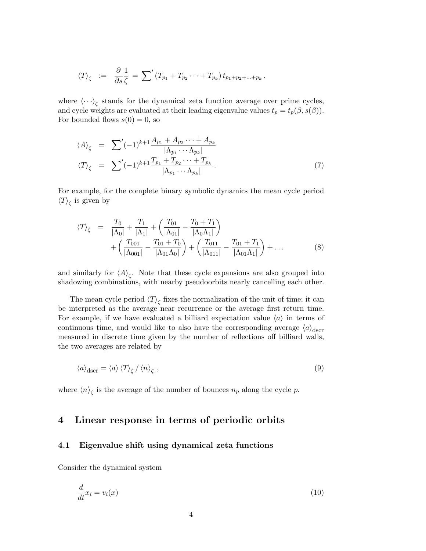$$
\langle T \rangle_{\zeta} \; := \; \frac{\partial}{\partial s} \frac{1}{\zeta} = \sum' (T_{p_1} + T_{p_2} \cdots + T_{p_k}) t_{p_1 + p_2 + \cdots + p_k},
$$

where  $\langle \cdots \rangle_{\zeta}$  stands for the dynamical zeta function average over prime cycles, and cycle weights are evaluated at their leading eigenvalue values  $t_p = t_p(\beta, s(\beta)).$ For bounded flows  $s(0) = 0$ , so

$$
\langle A \rangle_{\zeta} = \sum' (-1)^{k+1} \frac{A_{p_1} + A_{p_2} \cdots + A_{p_k}}{|\Lambda_{p_1} \cdots \Lambda_{p_k}|} \n\langle T \rangle_{\zeta} = \sum' (-1)^{k+1} \frac{T_{p_1} + T_{p_2} \cdots + T_{p_k}}{|\Lambda_{p_1} \cdots \Lambda_{p_k}|}.
$$
\n(7)

For example, for the complete binary symbolic dynamics the mean cycle period  $\langle T \rangle_{\zeta}$  is given by

$$
\langle T \rangle_{\zeta} = \frac{T_0}{|\Lambda_0|} + \frac{T_1}{|\Lambda_1|} + \left(\frac{T_{01}}{|\Lambda_{01}|} - \frac{T_0 + T_1}{|\Lambda_0 \Lambda_1|}\right) + \left(\frac{T_{001}}{|\Lambda_{001}|} - \frac{T_{01} + T_0}{|\Lambda_{01} \Lambda_0|}\right) + \left(\frac{T_{011}}{|\Lambda_{01} |} - \frac{T_{01} + T_1}{|\Lambda_{01} \Lambda_1|}\right) + \dots
$$
\n(8)

and similarly for  $\langle A \rangle_{\zeta}$ . Note that these cycle expansions are also grouped into shadowing combinations, with nearby pseudoorbits nearly cancelling each other.

The mean cycle period  $\langle T \rangle_{\zeta}$  fixes the normalization of the unit of time; it can be interpreted as the average near recurrence or the average first return time. For example, if we have evaluated a billiard expectation value  $\langle a \rangle$  in terms of continuous time, and would like to also have the corresponding average  $\langle a \rangle_{\text{dscr}}$ measured in discrete time given by the number of reflections off billiard walls, the two averages are related by

$$
\langle a \rangle_{\text{dscr}} = \langle a \rangle \langle T \rangle_{\zeta} / \langle n \rangle_{\zeta} , \qquad (9)
$$

where  $\langle n \rangle_{\zeta}$  is the average of the number of bounces  $n_p$  along the cycle p.

### 4 Linear response in terms of periodic orbits

#### 4.1 Eigenvalue shift using dynamical zeta functions

Consider the dynamical system

$$
\frac{d}{dt}x_i = v_i(x) \tag{10}
$$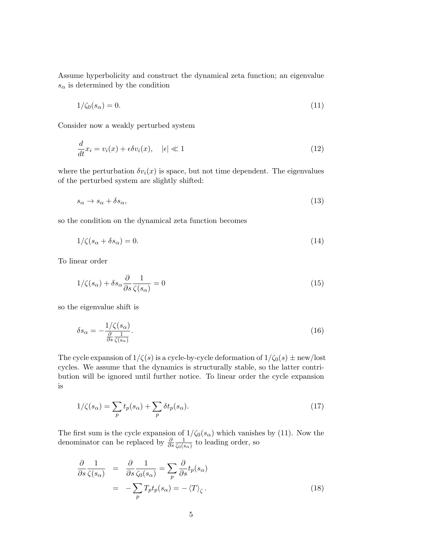Assume hyperbolicity and construct the dynamical zeta function; an eigenvalue  $s_{\alpha}$  is determined by the condition

$$
1/\zeta_0(s_\alpha) = 0.\tag{11}
$$

Consider now a weakly perturbed system

$$
\frac{d}{dt}x_i = v_i(x) + \epsilon \delta v_i(x), \quad |\epsilon| \ll 1 \tag{12}
$$

where the perturbation  $\delta v_i(x)$  is space, but not time dependent. The eigenvalues of the perturbed system are slightly shifted:

$$
s_{\alpha} \to s_{\alpha} + \delta s_{\alpha}, \tag{13}
$$

so the condition on the dynamical zeta function becomes

$$
1/\zeta(s_{\alpha} + \delta s_{\alpha}) = 0. \tag{14}
$$

To linear order

$$
1/\zeta(s_{\alpha}) + \delta s_{\alpha} \frac{\partial}{\partial s} \frac{1}{\zeta(s_{\alpha})} = 0
$$
\n(15)

so the eigenvalue shift is

$$
\delta s_{\alpha} = -\frac{1/\zeta(s_{\alpha})}{\frac{\partial}{\partial s} \frac{1}{\zeta(s_{\alpha})}}.\tag{16}
$$

The cycle expansion of  $1/\zeta(s)$  is a cycle-by-cycle deformation of  $1/\zeta_0(s) \pm \text{new}/\text{lost}$ cycles. We assume that the dynamics is structurally stable, so the latter contribution will be ignored until further notice. To linear order the cycle expansion is

$$
1/\zeta(s_{\alpha}) = \sum_{p} t_p(s_{\alpha}) + \sum_{p} \delta t_p(s_{\alpha}).
$$
\n(17)

The first sum is the cycle expansion of  $1/\zeta_0(s_\alpha)$  which vanishes by (11). Now the denominator can be replaced by  $\frac{\partial}{\partial s}$ 1  $\frac{1}{\zeta_0(s_\alpha)}$  to leading order, so

$$
\frac{\partial}{\partial s} \frac{1}{\zeta(s_{\alpha})} = \frac{\partial}{\partial s} \frac{1}{\zeta_0(s_{\alpha})} = \sum_p \frac{\partial}{\partial s} t_p(s_{\alpha})
$$

$$
= -\sum_p T_p t_p(s_{\alpha}) = -\langle T \rangle_{\zeta}.
$$
(18)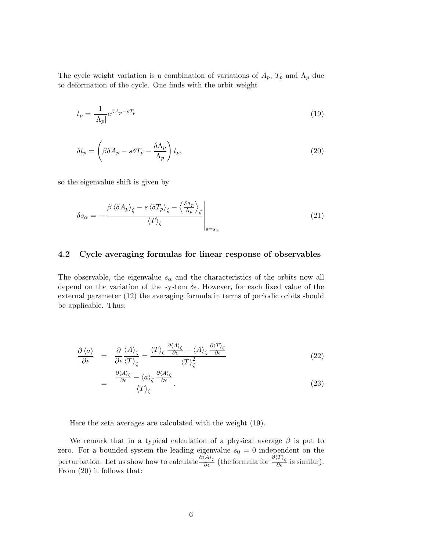The cycle weight variation is a combination of variations of  $A_p$ ,  $T_p$  and  $\Lambda_p$  due to deformation of the cycle. One finds with the orbit weight

$$
t_p = \frac{1}{|\Lambda_p|} e^{\beta A_p - sT_p} \tag{19}
$$

$$
\delta t_p = \left(\beta \delta A_p - s \delta T_p - \frac{\delta \Lambda_p}{\Lambda_p}\right) t_p,\tag{20}
$$

so the eigenvalue shift is given by

$$
\delta s_{\alpha} = -\frac{\beta \left\langle \delta A_p \right\rangle_{\zeta} - s \left\langle \delta T_p \right\rangle_{\zeta} - \left\langle \frac{\delta \Lambda_p}{\Lambda_p} \right\rangle_{\zeta}}{\langle T \rangle_{\zeta}} \Bigg|_{s=s_{\alpha}} \tag{21}
$$

#### 4.2 Cycle averaging formulas for linear response of observables

The observable, the eigenvalue  $s_{\alpha}$  and the characteristics of the orbits now all depend on the variation of the system  $\delta \epsilon$ . However, for each fixed value of the external parameter (12) the averaging formula in terms of periodic orbits should be applicable. Thus:

$$
\frac{\partial \langle a \rangle}{\partial \epsilon} = \frac{\partial}{\partial \epsilon} \frac{\langle A \rangle_{\zeta}}{\langle T \rangle_{\zeta}} = \frac{\langle T \rangle_{\zeta}}{\langle T \rangle_{\zeta}} \frac{\partial \langle A \rangle_{\zeta}}{\partial \epsilon} - \langle A \rangle_{\zeta} \frac{\partial \langle T \rangle_{\zeta}}{\partial \epsilon}
$$
(22)

$$
= \frac{\frac{\partial \langle A \rangle_{\zeta}}{\partial \epsilon} - \langle a \rangle_{\zeta} \frac{\partial \langle A \rangle_{\zeta}}{\partial \epsilon}}{\langle T \rangle_{\zeta}}.
$$
(23)

Here the zeta averages are calculated with the weight (19).

We remark that in a typical calculation of a physical average  $\beta$  is put to zero. For a bounded system the leading eigenvalue  $s_0 = 0$  independent on the perturbation. Let us show how to calculate  $\frac{\partial \langle A \rangle_{\zeta}}{\partial \epsilon}$  (the formula for  $\frac{\partial \langle T \rangle_{\zeta}}{\partial \epsilon}$  is similar). From (20) it follows that: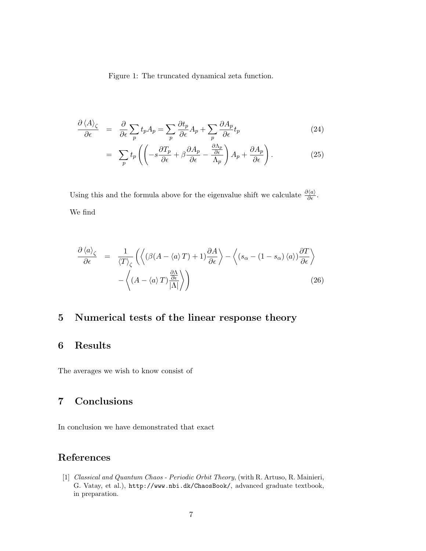Figure 1: The truncated dynamical zeta function.

$$
\frac{\partial \langle A \rangle_{\zeta}}{\partial \epsilon} = \frac{\partial}{\partial \epsilon} \sum_{p} t_{p} A_{p} = \sum_{p} \frac{\partial t_{p}}{\partial \epsilon} A_{p} + \sum_{p} \frac{\partial A_{p}}{\partial \epsilon} t_{p}
$$
(24)

$$
= \sum_{p} t_{p} \left( \left( -s \frac{\partial T_{p}}{\partial \epsilon} + \beta \frac{\partial A_{p}}{\partial \epsilon} - \frac{\frac{\partial \Lambda_{p}}{\partial \epsilon}}{\Lambda_{p}} \right) A_{p} + \frac{\partial A_{p}}{\partial \epsilon} \right). \tag{25}
$$

Using this and the formula above for the eigenvalue shift we calculate  $\frac{\partial \langle a \rangle}{\partial \epsilon}$ . We find

$$
\frac{\partial \langle a \rangle_{\zeta}}{\partial \epsilon} = \frac{1}{\langle T \rangle_{\zeta}} \left( \left\langle (\beta(A - \langle a \rangle T) + 1) \frac{\partial A}{\partial \epsilon} \right\rangle - \left\langle (s_{\alpha} - (1 - s_{\alpha}) \langle a \rangle) \frac{\partial T}{\partial \epsilon} \right\rangle - \left\langle (A - \langle a \rangle T) \frac{\frac{\partial A}{\partial \epsilon}}{|\Lambda|} \right\rangle \right) \tag{26}
$$

## 5 Numerical tests of the linear response theory

## 6 Results

The averages we wish to know consist of

# 7 Conclusions

In conclusion we have demonstrated that exact

## References

[1] Classical and Quantum Chaos - Periodic Orbit Theory, (with R. Artuso, R. Mainieri, G. Vatay, et al.), http://www.nbi.dk/ChaosBook/, advanced graduate textbook, in preparation.